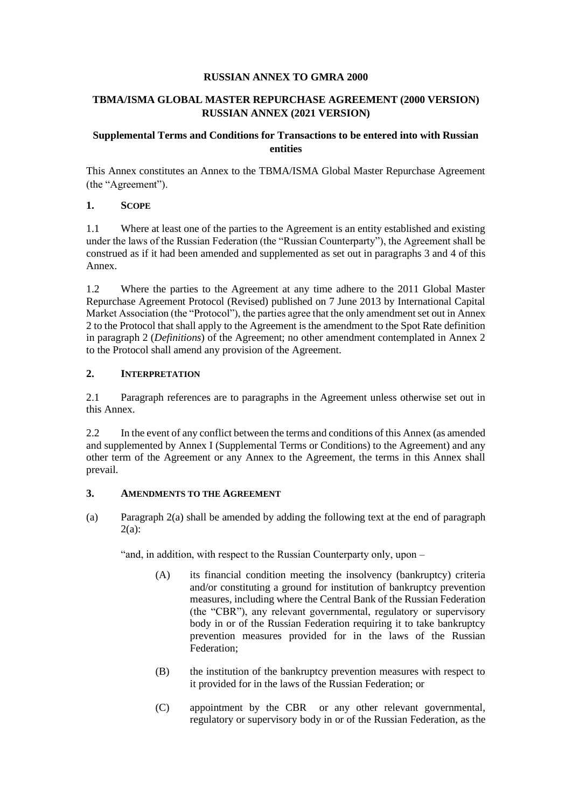### **RUSSIAN ANNEX TO GMRA 2000**

## **TBMA/ISMA GLOBAL MASTER REPURCHASE AGREEMENT (2000 VERSION) RUSSIAN ANNEX (2021 VERSION)**

## **Supplemental Terms and Conditions for Transactions to be entered into with Russian entities**

This Annex constitutes an Annex to the TBMA/ISMA Global Master Repurchase Agreement (the "Agreement").

### **1. SCOPE**

1.1 Where at least one of the parties to the Agreement is an entity established and existing under the laws of the Russian Federation (the "Russian Counterparty"), the Agreement shall be construed as if it had been amended and supplemented as set out in paragraphs 3 and 4 of this Annex.

1.2 Where the parties to the Agreement at any time adhere to the 2011 Global Master Repurchase Agreement Protocol (Revised) published on 7 June 2013 by International Capital Market Association (the "Protocol"), the parties agree that the only amendment set out in Annex 2 to the Protocol that shall apply to the Agreement is the amendment to the Spot Rate definition in paragraph 2 (*Definitions*) of the Agreement; no other amendment contemplated in Annex 2 to the Protocol shall amend any provision of the Agreement.

# **2. INTERPRETATION**

2.1 Paragraph references are to paragraphs in the Agreement unless otherwise set out in this Annex.

2.2 In the event of any conflict between the terms and conditions of this Annex (as amended and supplemented by Annex I (Supplemental Terms or Conditions) to the Agreement) and any other term of the Agreement or any Annex to the Agreement, the terms in this Annex shall prevail.

### **3. AMENDMENTS TO THE AGREEMENT**

(a) Paragraph 2(a) shall be amended by adding the following text at the end of paragraph 2(a):

"and, in addition, with respect to the Russian Counterparty only, upon –

- (A) its financial condition meeting the insolvency (bankruptcy) criteria and/or constituting a ground for institution of bankruptcy prevention measures, including where the Central Bank of the Russian Federation (the "CBR"), any relevant governmental, regulatory or supervisory body in or of the Russian Federation requiring it to take bankruptcy prevention measures provided for in the laws of the Russian Federation;
- (B) the institution of the bankruptcy prevention measures with respect to it provided for in the laws of the Russian Federation; or
- (C) appointment by the CBR or any other relevant governmental, regulatory or supervisory body in or of the Russian Federation, as the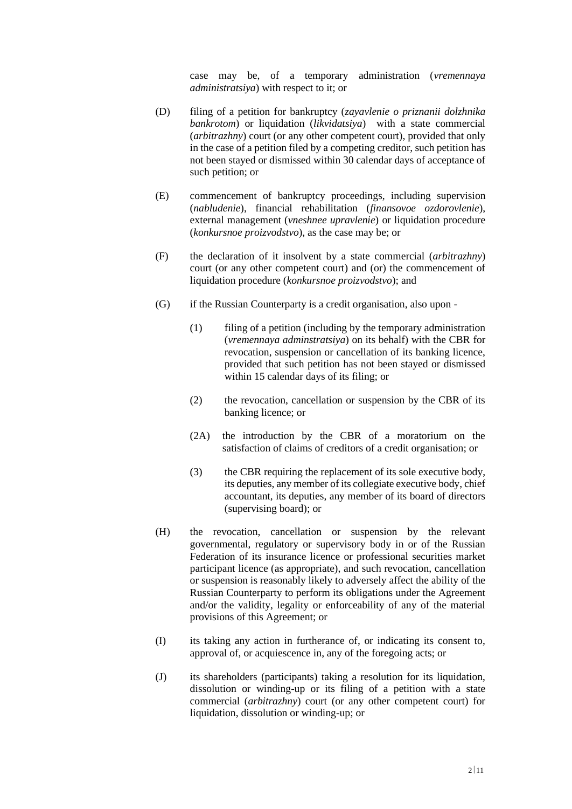case may be, of a temporary administration (*vremennaya administratsiya*) with respect to it; or

- (D) filing of a petition for bankruptcy (*zayavlenie o priznanii dolzhnika bankrotom*) or liquidation (*likvidatsiya*) with a state commercial (*arbitrazhny*) court (or any other competent court), provided that only in the case of a petition filed by a competing creditor, such petition has not been stayed or dismissed within 30 calendar days of acceptance of such petition; or
- (E) commencement of bankruptcy proceedings, including supervision (*nabludenie*), financial rehabilitation (*finansovoe ozdorovlenie*), external management (*vneshnee upravlenie*) or liquidation procedure (*konkursnoe proizvodstvo*), as the case may be; or
- (F) the declaration of it insolvent by a state commercial (*arbitrazhny*) court (or any other competent court) and (or) the commencement of liquidation procedure (*konkursnoe proizvodstvo*); and
- (G) if the Russian Counterparty is a credit organisation, also upon
	- (1) filing of a petition (including by the temporary administration (*vremennaya adminstratsiya*) on its behalf) with the CBR for revocation, suspension or cancellation of its banking licence, provided that such petition has not been stayed or dismissed within 15 calendar days of its filing; or
	- (2) the revocation, cancellation or suspension by the CBR of its banking licence; or
	- (2A) the introduction by the CBR of a moratorium on the satisfaction of claims of creditors of a credit organisation; or
	- (3) the CBR requiring the replacement of its sole executive body, its deputies, any member of its collegiate executive body, chief accountant, its deputies, any member of its board of directors (supervising board); or
- (H) the revocation, cancellation or suspension by the relevant governmental, regulatory or supervisory body in or of the Russian Federation of its insurance licence or professional securities market participant licence (as appropriate), and such revocation, cancellation or suspension is reasonably likely to adversely affect the ability of the Russian Counterparty to perform its obligations under the Agreement and/or the validity, legality or enforceability of any of the material provisions of this Agreement; or
- (I) its taking any action in furtherance of, or indicating its consent to, approval of, or acquiescence in, any of the foregoing acts; or
- (J) its shareholders (participants) taking a resolution for its liquidation, dissolution or winding-up or its filing of a petition with a state commercial (*arbitrazhny*) court (or any other competent court) for liquidation, dissolution or winding-up; or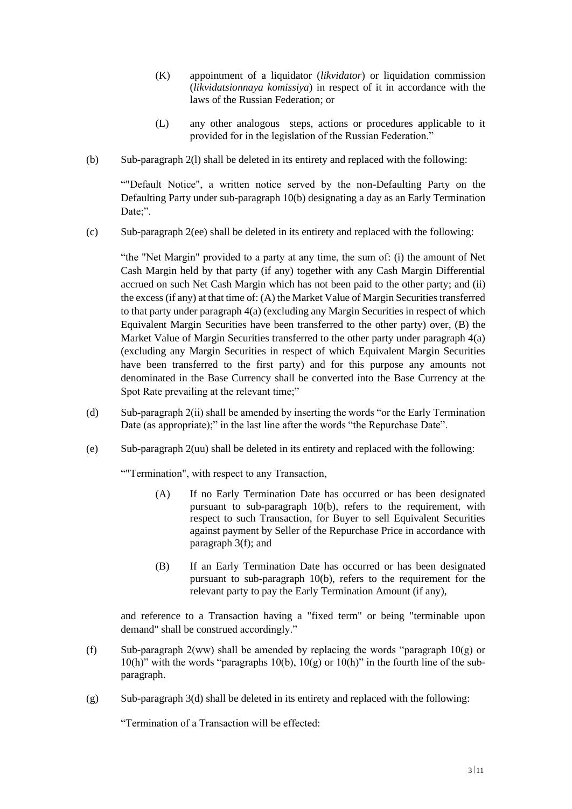- (K) appointment of a liquidator (*likvidator*) or liquidation commission (*likvidatsionnaya komissiya*) in respect of it in accordance with the laws of the Russian Federation; or
- (L) any other analogous steps, actions or procedures applicable to it provided for in the legislation of the Russian Federation."
- (b) Sub-paragraph 2(l) shall be deleted in its entirety and replaced with the following:

""Default Notice", a written notice served by the non-Defaulting Party on the Defaulting Party under sub-paragraph 10(b) designating a day as an Early Termination Date;".

(c) Sub-paragraph 2(ee) shall be deleted in its entirety and replaced with the following:

"the "Net Margin" provided to a party at any time, the sum of: (i) the amount of Net Cash Margin held by that party (if any) together with any Cash Margin Differential accrued on such Net Cash Margin which has not been paid to the other party; and (ii) the excess (if any) at that time of: (A) the Market Value of Margin Securities transferred to that party under paragraph 4(a) (excluding any Margin Securities in respect of which Equivalent Margin Securities have been transferred to the other party) over, (B) the Market Value of Margin Securities transferred to the other party under paragraph 4(a) (excluding any Margin Securities in respect of which Equivalent Margin Securities have been transferred to the first party) and for this purpose any amounts not denominated in the Base Currency shall be converted into the Base Currency at the Spot Rate prevailing at the relevant time;"

- (d) Sub-paragraph 2(ii) shall be amended by inserting the words "or the Early Termination Date (as appropriate);" in the last line after the words "the Repurchase Date".
- (e) Sub-paragraph 2(uu) shall be deleted in its entirety and replaced with the following:

""Termination", with respect to any Transaction,

- (A) If no Early Termination Date has occurred or has been designated pursuant to sub-paragraph 10(b), refers to the requirement, with respect to such Transaction, for Buyer to sell Equivalent Securities against payment by Seller of the Repurchase Price in accordance with paragraph 3(f); and
- (B) If an Early Termination Date has occurred or has been designated pursuant to sub-paragraph 10(b), refers to the requirement for the relevant party to pay the Early Termination Amount (if any),

and reference to a Transaction having a "fixed term" or being "terminable upon demand" shall be construed accordingly."

- (f) Sub-paragraph 2(ww) shall be amended by replacing the words "paragraph  $10(g)$  or 10(h)" with the words "paragraphs 10(b),  $10(g)$  or  $10(h)$ " in the fourth line of the subparagraph.
- $(g)$  Sub-paragraph 3(d) shall be deleted in its entirety and replaced with the following:

"Termination of a Transaction will be effected: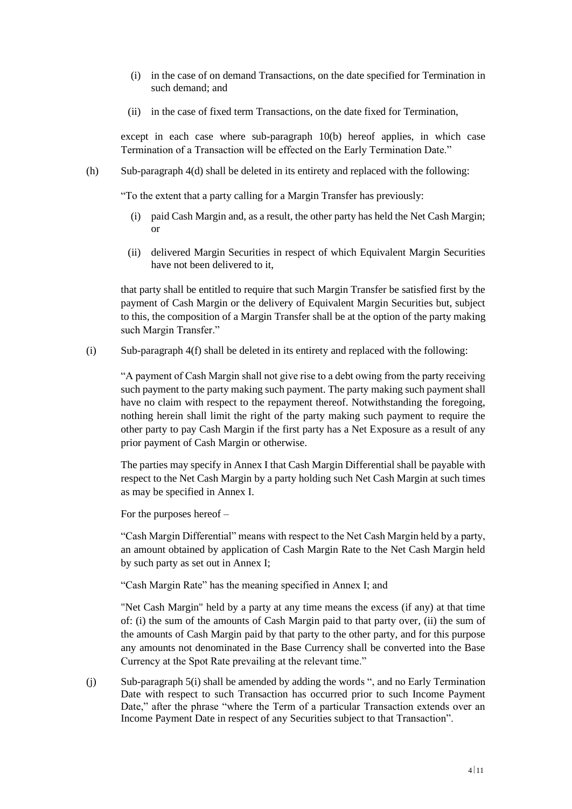- (i) in the case of on demand Transactions, on the date specified for Termination in such demand; and
- (ii) in the case of fixed term Transactions, on the date fixed for Termination,

except in each case where sub-paragraph 10(b) hereof applies, in which case Termination of a Transaction will be effected on the Early Termination Date."

(h) Sub-paragraph 4(d) shall be deleted in its entirety and replaced with the following:

"To the extent that a party calling for a Margin Transfer has previously:

- (i) paid Cash Margin and, as a result, the other party has held the Net Cash Margin; or
- (ii) delivered Margin Securities in respect of which Equivalent Margin Securities have not been delivered to it,

that party shall be entitled to require that such Margin Transfer be satisfied first by the payment of Cash Margin or the delivery of Equivalent Margin Securities but, subject to this, the composition of a Margin Transfer shall be at the option of the party making such Margin Transfer."

(i) Sub-paragraph 4(f) shall be deleted in its entirety and replaced with the following:

"A payment of Cash Margin shall not give rise to a debt owing from the party receiving such payment to the party making such payment. The party making such payment shall have no claim with respect to the repayment thereof. Notwithstanding the foregoing, nothing herein shall limit the right of the party making such payment to require the other party to pay Cash Margin if the first party has a Net Exposure as a result of any prior payment of Cash Margin or otherwise.

The parties may specify in Annex I that Cash Margin Differential shall be payable with respect to the Net Cash Margin by a party holding such Net Cash Margin at such times as may be specified in Annex I.

For the purposes hereof –

"Cash Margin Differential" means with respect to the Net Cash Margin held by a party, an amount obtained by application of Cash Margin Rate to the Net Cash Margin held by such party as set out in Annex I;

"Cash Margin Rate" has the meaning specified in Annex I; and

"Net Cash Margin" held by a party at any time means the excess (if any) at that time of: (i) the sum of the amounts of Cash Margin paid to that party over, (ii) the sum of the amounts of Cash Margin paid by that party to the other party, and for this purpose any amounts not denominated in the Base Currency shall be converted into the Base Currency at the Spot Rate prevailing at the relevant time."

(j) Sub-paragraph 5(i) shall be amended by adding the words ", and no Early Termination Date with respect to such Transaction has occurred prior to such Income Payment Date," after the phrase "where the Term of a particular Transaction extends over an Income Payment Date in respect of any Securities subject to that Transaction".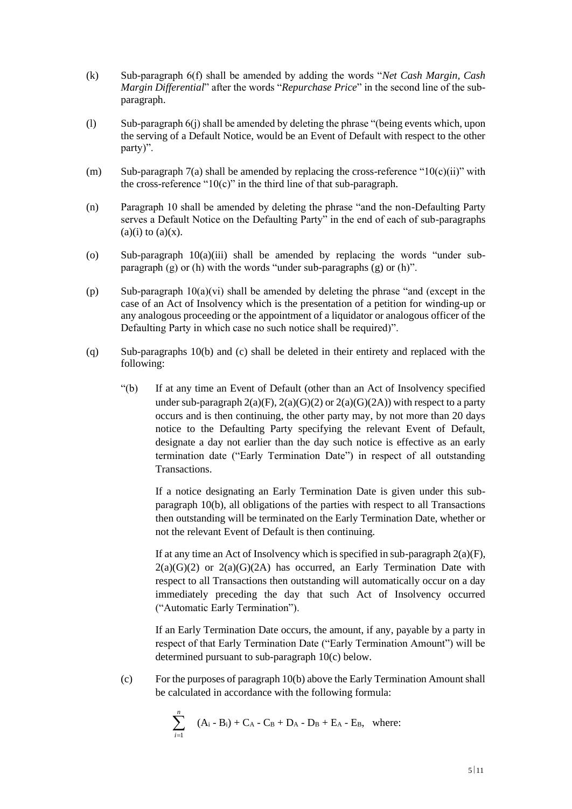- (k) Sub-paragraph 6(f) shall be amended by adding the words "*Net Cash Margin, Cash Margin Differential*" after the words "*Repurchase Price*" in the second line of the subparagraph.
- (l) Sub-paragraph 6(j) shall be amended by deleting the phrase "(being events which, upon the serving of a Default Notice, would be an Event of Default with respect to the other party)".
- (m) Sub-paragraph 7(a) shall be amended by replacing the cross-reference " $10(c)(ii)$ " with the cross-reference " $10(c)$ " in the third line of that sub-paragraph.
- (n) Paragraph 10 shall be amended by deleting the phrase "and the non-Defaulting Party serves a Default Notice on the Defaulting Party" in the end of each of sub-paragraphs  $(a)(i)$  to  $(a)(x)$ .
- (o) Sub-paragraph  $10(a)(iii)$  shall be amended by replacing the words "under subparagraph  $(g)$  or  $(h)$  with the words "under sub-paragraphs  $(g)$  or  $(h)$ ".
- (p) Sub-paragraph 10(a)(vi) shall be amended by deleting the phrase "and (except in the case of an Act of Insolvency which is the presentation of a petition for winding-up or any analogous proceeding or the appointment of a liquidator or analogous officer of the Defaulting Party in which case no such notice shall be required)".
- (q) Sub-paragraphs 10(b) and (c) shall be deleted in their entirety and replaced with the following:
	- "(b) If at any time an Event of Default (other than an Act of Insolvency specified under sub-paragraph  $2(a)(F)$ ,  $2(a)(G)(2)$  or  $2(a)(G)(2A)$ ) with respect to a party occurs and is then continuing, the other party may, by not more than 20 days notice to the Defaulting Party specifying the relevant Event of Default, designate a day not earlier than the day such notice is effective as an early termination date ("Early Termination Date") in respect of all outstanding Transactions.

If a notice designating an Early Termination Date is given under this subparagraph 10(b), all obligations of the parties with respect to all Transactions then outstanding will be terminated on the Early Termination Date, whether or not the relevant Event of Default is then continuing.

If at any time an Act of Insolvency which is specified in sub-paragraph  $2(a)(F)$ ,  $2(a)(G)(2)$  or  $2(a)(G)(2A)$  has occurred, an Early Termination Date with respect to all Transactions then outstanding will automatically occur on a day immediately preceding the day that such Act of Insolvency occurred ("Automatic Early Termination").

If an Early Termination Date occurs, the amount, if any, payable by a party in respect of that Early Termination Date ("Early Termination Amount") will be determined pursuant to sub-paragraph 10(c) below.

(c) For the purposes of paragraph 10(b) above the Early Termination Amount shall be calculated in accordance with the following formula:

$$
\sum_{i=1}^{n} (A_{i} - B_{i}) + C_{A} - C_{B} + D_{A} - D_{B} + E_{A} - E_{B}, where:
$$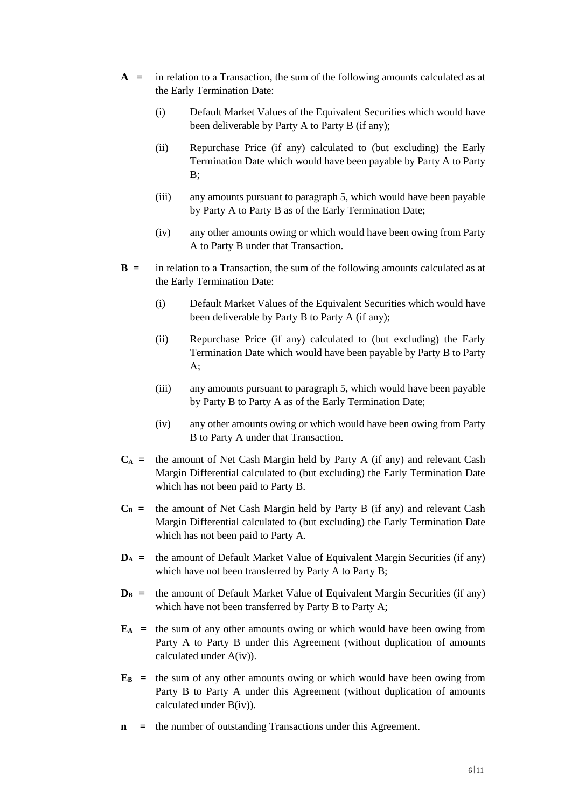- **A =** in relation to a Transaction, the sum of the following amounts calculated as at the Early Termination Date:
	- (i) Default Market Values of the Equivalent Securities which would have been deliverable by Party A to Party B (if any);
	- (ii) Repurchase Price (if any) calculated to (but excluding) the Early Termination Date which would have been payable by Party A to Party B;
	- (iii) any amounts pursuant to paragraph 5, which would have been payable by Party A to Party B as of the Early Termination Date;
	- (iv) any other amounts owing or which would have been owing from Party A to Party B under that Transaction.
- **B =** in relation to a Transaction, the sum of the following amounts calculated as at the Early Termination Date:
	- (i) Default Market Values of the Equivalent Securities which would have been deliverable by Party B to Party A (if any);
	- (ii) Repurchase Price (if any) calculated to (but excluding) the Early Termination Date which would have been payable by Party B to Party A;
	- (iii) any amounts pursuant to paragraph 5, which would have been payable by Party B to Party A as of the Early Termination Date;
	- (iv) any other amounts owing or which would have been owing from Party B to Party A under that Transaction.
- $C_A$  = the amount of Net Cash Margin held by Party A (if any) and relevant Cash Margin Differential calculated to (but excluding) the Early Termination Date which has not been paid to Party B.
- $C_B$  = the amount of Net Cash Margin held by Party B (if any) and relevant Cash Margin Differential calculated to (but excluding) the Early Termination Date which has not been paid to Party A.
- $D_A$  = the amount of Default Market Value of Equivalent Margin Securities (if any) which have not been transferred by Party A to Party B;
- $D_B$  = the amount of Default Market Value of Equivalent Margin Securities (if any) which have not been transferred by Party B to Party A;
- $\mathbf{E}_A$  = the sum of any other amounts owing or which would have been owing from Party A to Party B under this Agreement (without duplication of amounts calculated under A(iv)).
- $\mathbf{E}_B$  = the sum of any other amounts owing or which would have been owing from Party B to Party A under this Agreement (without duplication of amounts calculated under B(iv)).
- **n** = the number of outstanding Transactions under this Agreement.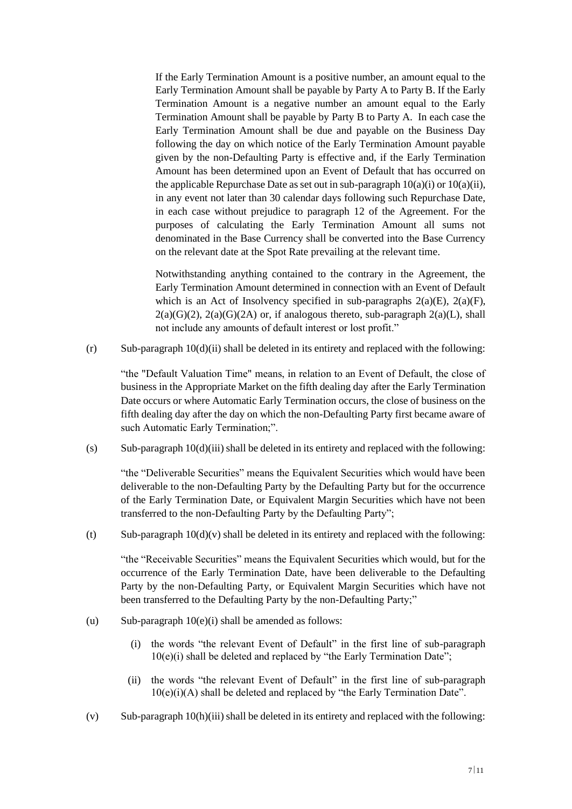If the Early Termination Amount is a positive number, an amount equal to the Early Termination Amount shall be payable by Party A to Party B. If the Early Termination Amount is a negative number an amount equal to the Early Termination Amount shall be payable by Party B to Party A. In each case the Early Termination Amount shall be due and payable on the Business Day following the day on which notice of the Early Termination Amount payable given by the non-Defaulting Party is effective and, if the Early Termination Amount has been determined upon an Event of Default that has occurred on the applicable Repurchase Date as set out in sub-paragraph  $10(a)(i)$  or  $10(a)(ii)$ , in any event not later than 30 calendar days following such Repurchase Date, in each case without prejudice to paragraph 12 of the Agreement. For the purposes of calculating the Early Termination Amount all sums not denominated in the Base Currency shall be converted into the Base Currency on the relevant date at the Spot Rate prevailing at the relevant time.

Notwithstanding anything contained to the contrary in the Agreement, the Early Termination Amount determined in connection with an Event of Default which is an Act of Insolvency specified in sub-paragraphs  $2(a)(E)$ ,  $2(a)(F)$ ,  $2(a)(G)(2)$ ,  $2(a)(G)(2A)$  or, if analogous thereto, sub-paragraph  $2(a)(L)$ , shall not include any amounts of default interest or lost profit."

 $(r)$  Sub-paragraph  $10(d)(ii)$  shall be deleted in its entirety and replaced with the following:

"the "Default Valuation Time" means, in relation to an Event of Default, the close of business in the Appropriate Market on the fifth dealing day after the Early Termination Date occurs or where Automatic Early Termination occurs, the close of business on the fifth dealing day after the day on which the non-Defaulting Party first became aware of such Automatic Early Termination;".

 $(s)$  Sub-paragraph 10(d)(iii) shall be deleted in its entirety and replaced with the following:

"the "Deliverable Securities" means the Equivalent Securities which would have been deliverable to the non-Defaulting Party by the Defaulting Party but for the occurrence of the Early Termination Date, or Equivalent Margin Securities which have not been transferred to the non-Defaulting Party by the Defaulting Party";

(t) Sub-paragraph  $10(d)(v)$  shall be deleted in its entirety and replaced with the following:

"the "Receivable Securities" means the Equivalent Securities which would, but for the occurrence of the Early Termination Date, have been deliverable to the Defaulting Party by the non-Defaulting Party, or Equivalent Margin Securities which have not been transferred to the Defaulting Party by the non-Defaulting Party;"

- (u) Sub-paragraph  $10(e)(i)$  shall be amended as follows:
	- (i) the words "the relevant Event of Default" in the first line of sub-paragraph 10(e)(i) shall be deleted and replaced by "the Early Termination Date";
	- (ii) the words "the relevant Event of Default" in the first line of sub-paragraph 10(e)(i)(A) shall be deleted and replaced by "the Early Termination Date".
- $(v)$  Sub-paragraph 10(h)(iii) shall be deleted in its entirety and replaced with the following: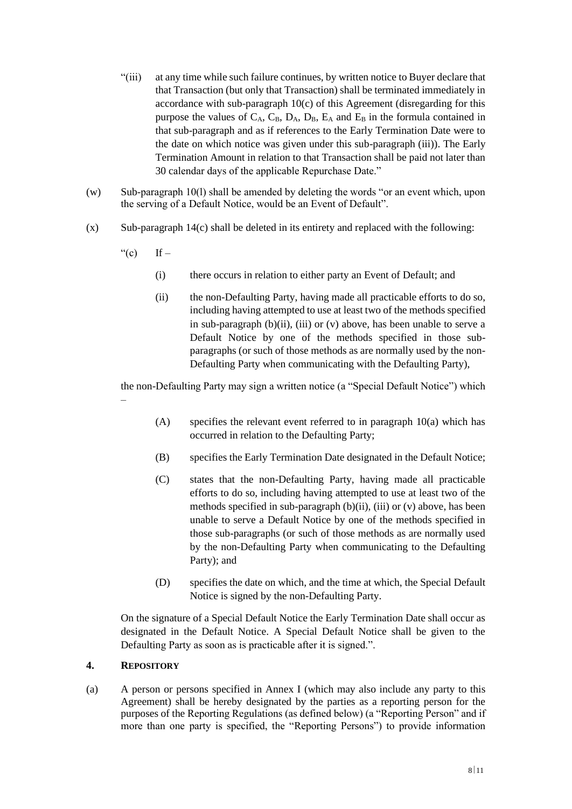- "(iii) at any time while such failure continues, by written notice to Buyer declare that that Transaction (but only that Transaction) shall be terminated immediately in accordance with sub-paragraph 10(c) of this Agreement (disregarding for this purpose the values of  $C_A$ ,  $C_B$ ,  $D_A$ ,  $D_B$ ,  $E_A$  and  $E_B$  in the formula contained in that sub-paragraph and as if references to the Early Termination Date were to the date on which notice was given under this sub-paragraph (iii)). The Early Termination Amount in relation to that Transaction shall be paid not later than 30 calendar days of the applicable Repurchase Date."
- (w) Sub-paragraph 10(l) shall be amended by deleting the words "or an event which, upon the serving of a Default Notice, would be an Event of Default".
- (x) Sub-paragraph 14(c) shall be deleted in its entirety and replaced with the following:
	- "(c) If  $-$ 
		- (i) there occurs in relation to either party an Event of Default; and
		- (ii) the non-Defaulting Party, having made all practicable efforts to do so, including having attempted to use at least two of the methods specified in sub-paragraph  $(b)(ii)$ ,  $(iii)$  or  $(v)$  above, has been unable to serve a Default Notice by one of the methods specified in those subparagraphs (or such of those methods as are normally used by the non-Defaulting Party when communicating with the Defaulting Party),

the non-Defaulting Party may sign a written notice (a "Special Default Notice") which –

- $(A)$  specifies the relevant event referred to in paragraph 10(a) which has occurred in relation to the Defaulting Party;
- (B) specifies the Early Termination Date designated in the Default Notice;
- (C) states that the non-Defaulting Party, having made all practicable efforts to do so, including having attempted to use at least two of the methods specified in sub-paragraph (b)(ii), (iii) or (v) above, has been unable to serve a Default Notice by one of the methods specified in those sub-paragraphs (or such of those methods as are normally used by the non-Defaulting Party when communicating to the Defaulting Party); and
- (D) specifies the date on which, and the time at which, the Special Default Notice is signed by the non-Defaulting Party.

On the signature of a Special Default Notice the Early Termination Date shall occur as designated in the Default Notice. A Special Default Notice shall be given to the Defaulting Party as soon as is practicable after it is signed.".

### **4. REPOSITORY**

(a) A person or persons specified in Annex I (which may also include any party to this Agreement) shall be hereby designated by the parties as a reporting person for the purposes of the Reporting Regulations (as defined below) (a "Reporting Person" and if more than one party is specified, the "Reporting Persons") to provide information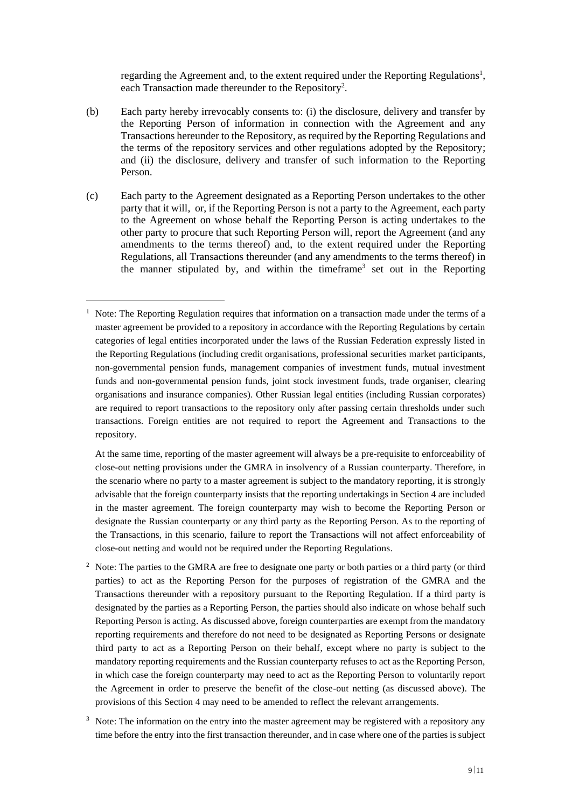regarding the Agreement and, to the extent required under the Reporting Regulations<sup>1</sup>, each Transaction made thereunder to the Repository<sup>2</sup>.

- (b) Each party hereby irrevocably consents to: (i) the disclosure, delivery and transfer by the Reporting Person of information in connection with the Agreement and any Transactions hereunder to the Repository, as required by the Reporting Regulations and the terms of the repository services and other regulations adopted by the Repository; and (ii) the disclosure, delivery and transfer of such information to the Reporting Person.
- (c) Each party to the Agreement designated as a Reporting Person undertakes to the other party that it will, or, if the Reporting Person is not a party to the Agreement, each party to the Agreement on whose behalf the Reporting Person is acting undertakes to the other party to procure that such Reporting Person will, report the Agreement (and any amendments to the terms thereof) and, to the extent required under the Reporting Regulations, all Transactions thereunder (and any amendments to the terms thereof) in the manner stipulated by, and within the timeframe<sup>3</sup> set out in the Reporting

<sup>1</sup> Note: The Reporting Regulation requires that information on a transaction made under the terms of a master agreement be provided to a repository in accordance with the Reporting Regulations by certain categories of legal entities incorporated under the laws of the Russian Federation expressly listed in the Reporting Regulations (including credit organisations, professional securities market participants, non-governmental pension funds, management companies of investment funds, mutual investment funds and non-governmental pension funds, joint stock investment funds, trade organiser, clearing organisations and insurance companies). Other Russian legal entities (including Russian corporates) are required to report transactions to the repository only after passing certain thresholds under such transactions. Foreign entities are not required to report the Agreement and Transactions to the repository.

At the same time, reporting of the master agreement will always be a pre-requisite to enforceability of close-out netting provisions under the GMRA in insolvency of a Russian counterparty. Therefore, in the scenario where no party to a master agreement is subject to the mandatory reporting, it is strongly advisable that the foreign counterparty insists that the reporting undertakings in Section 4 are included in the master agreement. The foreign counterparty may wish to become the Reporting Person or designate the Russian counterparty or any third party as the Reporting Person. As to the reporting of the Transactions, in this scenario, failure to report the Transactions will not affect enforceability of close-out netting and would not be required under the Reporting Regulations.

<sup>&</sup>lt;sup>2</sup> Note: The parties to the GMRA are free to designate one party or both parties or a third party (or third parties) to act as the Reporting Person for the purposes of registration of the GMRA and the Transactions thereunder with a repository pursuant to the Reporting Regulation. If a third party is designated by the parties as a Reporting Person, the parties should also indicate on whose behalf such Reporting Person is acting. As discussed above, foreign counterparties are exempt from the mandatory reporting requirements and therefore do not need to be designated as Reporting Persons or designate third party to act as a Reporting Person on their behalf, except where no party is subject to the mandatory reporting requirements and the Russian counterparty refuses to act as the Reporting Person, in which case the foreign counterparty may need to act as the Reporting Person to voluntarily report the Agreement in order to preserve the benefit of the close-out netting (as discussed above). The provisions of this Section 4 may need to be amended to reflect the relevant arrangements.

 $3\text{ Note: The information on the entry into the master agreement may be registered with a repository any.}$ time before the entry into the first transaction thereunder, and in case where one of the parties is subject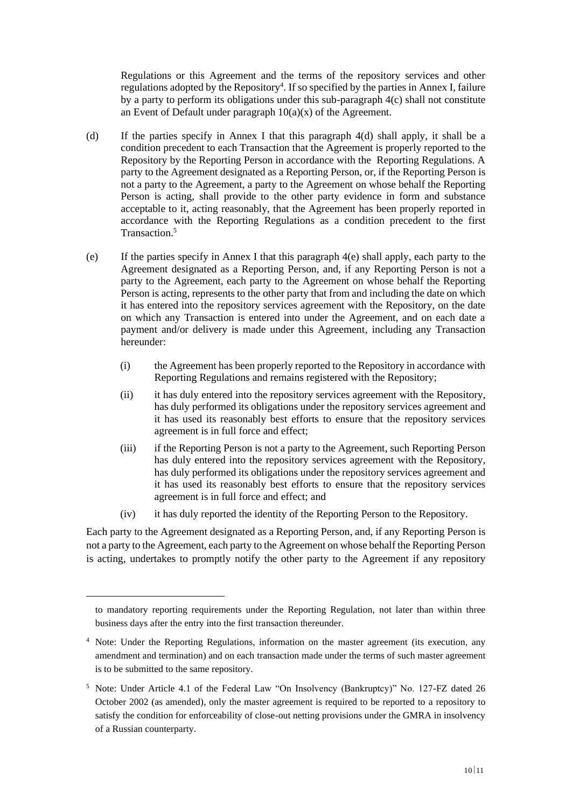Regulations or this Agreement and the terms of the repository services and other regulations adopted by the Repository<sup>4</sup>. If so specified by the parties in Annex I, failure by a party to perform its obligations under this sub-paragraph 4(c) shall not constitute an Event of Default under paragraph 10(a)(x) of the Agreement.

- (d) If the parties specify in Annex I that this paragraph 4(d) shall apply, it shall be a condition precedent to each Transaction that the Agreement is properly reported to the Repository by the Reporting Person in accordance with the Reporting Regulations. A party to the Agreement designated as a Reporting Person, or, if the Reporting Person is not a party to the Agreement, a party to the Agreement on whose behalf the Reporting Person is acting, shall provide to the other party evidence in form and substance acceptable to it, acting reasonably, that the Agreement has been properly reported in accordance with the Reporting Regulations as a condition precedent to the first Transaction. 5
- (e) If the parties specify in Annex I that this paragraph 4(e) shall apply, each party to the Agreement designated as a Reporting Person, and, if any Reporting Person is not a party to the Agreement, each party to the Agreement on whose behalf the Reporting Person is acting, represents to the other party that from and including the date on which it has entered into the repository services agreement with the Repository, on the date on which any Transaction is entered into under the Agreement, and on each date a payment and/or delivery is made under this Agreement, including any Transaction hereunder:
	- (i) the Agreement has been properly reported to the Repository in accordance with Reporting Regulations and remains registered with the Repository;
	- (ii) it has duly entered into the repository services agreement with the Repository, has duly performed its obligations under the repository services agreement and it has used its reasonably best efforts to ensure that the repository services agreement is in full force and effect;
	- (iii) if the Reporting Person is not a party to the Agreement, such Reporting Person has duly entered into the repository services agreement with the Repository, has duly performed its obligations under the repository services agreement and it has used its reasonably best efforts to ensure that the repository services agreement is in full force and effect; and
	- (iv) it has duly reported the identity of the Reporting Person to the Repository.

Each party to the Agreement designated as a Reporting Person, and, if any Reporting Person is not a party to the Agreement, each party to the Agreement on whose behalf the Reporting Person is acting, undertakes to promptly notify the other party to the Agreement if any repository

to mandatory reporting requirements under the Reporting Regulation, not later than within three business days after the entry into the first transaction thereunder.

<sup>4</sup> Note: Under the Reporting Regulations, information on the master agreement (its execution, any amendment and termination) and on each transaction made under the terms of such master agreement is to be submitted to the same repository.

<sup>5</sup> Note: Under Article 4.1 of the Federal Law "On Insolvency (Bankruptcy)" No. 127-FZ dated 26 October 2002 (as amended), only the master agreement is required to be reported to a repository to satisfy the condition for enforceability of close-out netting provisions under the GMRA in insolvency of a Russian counterparty.